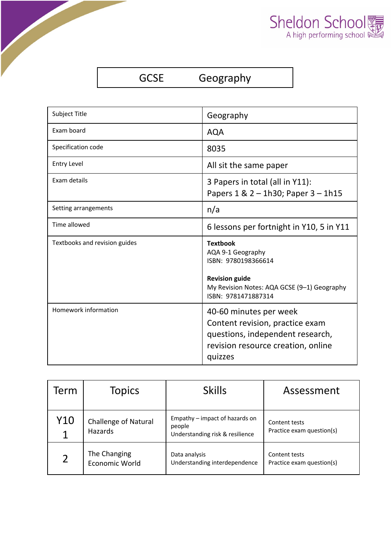

GCSE Geography

| Subject Title                 | Geography                                                                                                                                                  |
|-------------------------------|------------------------------------------------------------------------------------------------------------------------------------------------------------|
| Exam board                    | <b>AQA</b>                                                                                                                                                 |
| Specification code            | 8035                                                                                                                                                       |
| <b>Entry Level</b>            | All sit the same paper                                                                                                                                     |
| Exam details                  | 3 Papers in total (all in Y11):<br>Papers $1 & 2 - 1h30$ ; Paper $3 - 1h15$                                                                                |
| Setting arrangements          | n/a                                                                                                                                                        |
| Time allowed                  | 6 lessons per fortnight in Y10, 5 in Y11                                                                                                                   |
|                               |                                                                                                                                                            |
| Textbooks and revision guides | <b>Textbook</b><br>AQA 9-1 Geography<br>ISBN: 9780198366614<br><b>Revision guide</b><br>My Revision Notes: AQA GCSE (9-1) Geography<br>ISBN: 9781471887314 |

| Term           | <b>Topics</b>                          | <b>Skills</b>                                                               | Assessment                                 |
|----------------|----------------------------------------|-----------------------------------------------------------------------------|--------------------------------------------|
| Y10<br>1       | <b>Challenge of Natural</b><br>Hazards | Empathy – impact of hazards on<br>people<br>Understanding risk & resilience | Content tests<br>Practice exam question(s) |
| $\overline{2}$ | The Changing<br>Economic World         | Data analysis<br>Understanding interdependence                              | Content tests<br>Practice exam question(s) |